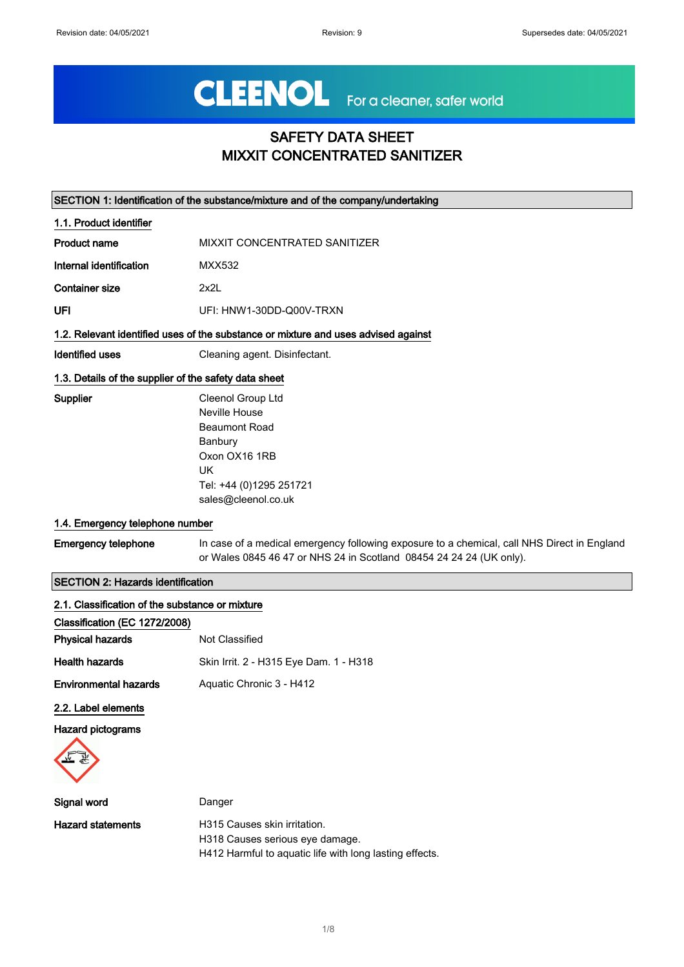# CLEENOL For a cleaner, safer world

## SAFETY DATA SHEET MIXXIT CONCENTRATED SANITIZER

|                                                       | SECTION 1: Identification of the substance/mixture and of the company/undertaking                                                                                  |
|-------------------------------------------------------|--------------------------------------------------------------------------------------------------------------------------------------------------------------------|
| 1.1. Product identifier                               |                                                                                                                                                                    |
| <b>Product name</b>                                   | MIXXIT CONCENTRATED SANITIZER                                                                                                                                      |
| Internal identification                               | MXX532                                                                                                                                                             |
| <b>Container size</b>                                 | 2x2L                                                                                                                                                               |
| <b>UFI</b>                                            | UFI: HNW1-30DD-Q00V-TRXN                                                                                                                                           |
|                                                       | 1.2. Relevant identified uses of the substance or mixture and uses advised against                                                                                 |
| <b>Identified uses</b>                                | Cleaning agent. Disinfectant.                                                                                                                                      |
| 1.3. Details of the supplier of the safety data sheet |                                                                                                                                                                    |
| Supplier                                              | Cleenol Group Ltd<br>Neville House<br><b>Beaumont Road</b><br>Banbury<br>Oxon OX16 1RB<br><b>UK</b><br>Tel: +44 (0)1295 251721<br>sales@cleenol.co.uk              |
| 1.4. Emergency telephone number                       |                                                                                                                                                                    |
| <b>Emergency telephone</b>                            | In case of a medical emergency following exposure to a chemical, call NHS Direct in England<br>or Wales 0845 46 47 or NHS 24 in Scotland 08454 24 24 24 (UK only). |
| <b>SECTION 2: Hazards identification</b>              |                                                                                                                                                                    |
| 2.1. Classification of the substance or mixture       |                                                                                                                                                                    |
| Classification (EC 1272/2008)                         |                                                                                                                                                                    |
| <b>Physical hazards</b>                               | Not Classified                                                                                                                                                     |
| <b>Health hazards</b>                                 | Skin Irrit. 2 - H315 Eye Dam. 1 - H318                                                                                                                             |
| <b>Environmental hazards</b>                          | Aquatic Chronic 3 - H412                                                                                                                                           |
| 2.2. Label elements                                   |                                                                                                                                                                    |
| <b>Hazard pictograms</b>                              |                                                                                                                                                                    |
| Signal word                                           | Danger                                                                                                                                                             |
| <b>Hazard statements</b>                              | H315 Causes skin irritation.                                                                                                                                       |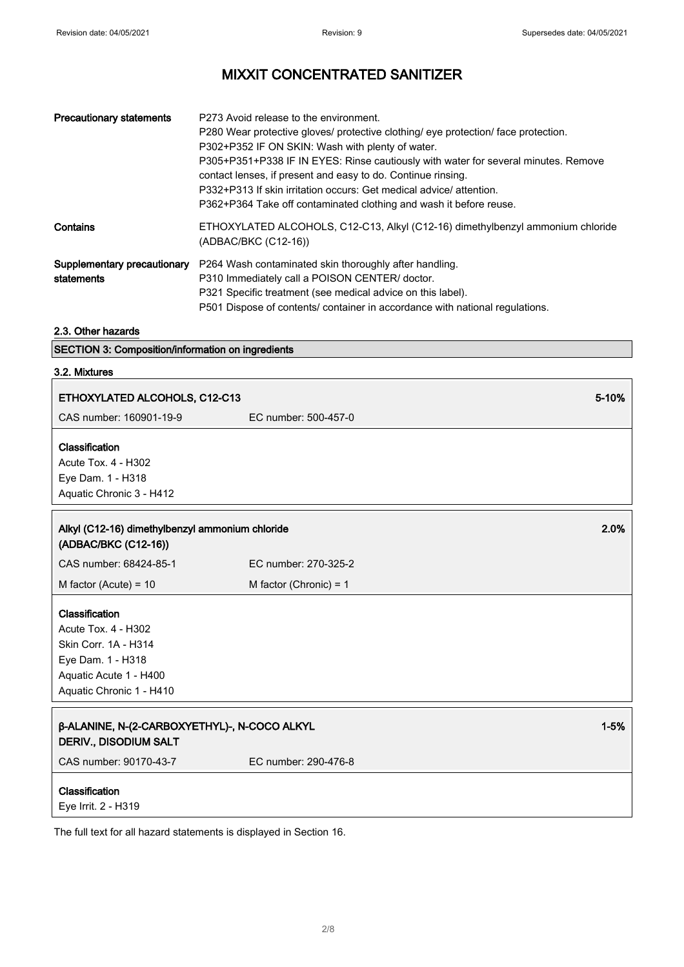| <b>Precautionary statements</b>           | P273 Avoid release to the environment.<br>P280 Wear protective gloves/ protective clothing/ eye protection/ face protection.<br>P302+P352 IF ON SKIN: Wash with plenty of water.<br>P305+P351+P338 IF IN EYES: Rinse cautiously with water for several minutes. Remove<br>contact lenses, if present and easy to do. Continue rinsing.<br>P332+P313 If skin irritation occurs: Get medical advice/attention.<br>P362+P364 Take off contaminated clothing and wash it before reuse. |
|-------------------------------------------|------------------------------------------------------------------------------------------------------------------------------------------------------------------------------------------------------------------------------------------------------------------------------------------------------------------------------------------------------------------------------------------------------------------------------------------------------------------------------------|
| Contains                                  | ETHOXYLATED ALCOHOLS, C12-C13, Alkyl (C12-16) dimethylbenzyl ammonium chloride<br>(ADBAC/BKC (C12-16))                                                                                                                                                                                                                                                                                                                                                                             |
| Supplementary precautionary<br>statements | P264 Wash contaminated skin thoroughly after handling.<br>P310 Immediately call a POISON CENTER/ doctor.<br>P321 Specific treatment (see medical advice on this label).<br>P501 Dispose of contents/ container in accordance with national regulations.                                                                                                                                                                                                                            |

#### 2.3. Other hazards

SECTION 3: Composition/information on ingredients

#### 3.2. Mixtures

| ETHOXYLATED ALCOHOLS, C12-C13                                                                                                                   |                          | 5-10%    |
|-------------------------------------------------------------------------------------------------------------------------------------------------|--------------------------|----------|
| CAS number: 160901-19-9                                                                                                                         | EC number: 500-457-0     |          |
| Classification<br>Acute Tox. 4 - H302<br>Eye Dam. 1 - H318<br>Aquatic Chronic 3 - H412                                                          |                          |          |
| Alkyl (C12-16) dimethylbenzyl ammonium chloride<br>(ADBAC/BKC (C12-16))                                                                         |                          | 2.0%     |
| CAS number: 68424-85-1                                                                                                                          | EC number: 270-325-2     |          |
| M factor (Acute) = $10$                                                                                                                         | M factor (Chronic) = $1$ |          |
| Classification<br><b>Acute Tox. 4 - H302</b><br>Skin Corr. 1A - H314<br>Eye Dam. 1 - H318<br>Aquatic Acute 1 - H400<br>Aquatic Chronic 1 - H410 |                          |          |
| β-ALANINE, N-(2-CARBOXYETHYL)-, N-COCO ALKYL<br><b>DERIV., DISODIUM SALT</b>                                                                    |                          | $1 - 5%$ |
| CAS number: 90170-43-7                                                                                                                          | EC number: 290-476-8     |          |
| Classification<br>Eye Irrit. 2 - H319                                                                                                           |                          |          |

The full text for all hazard statements is displayed in Section 16.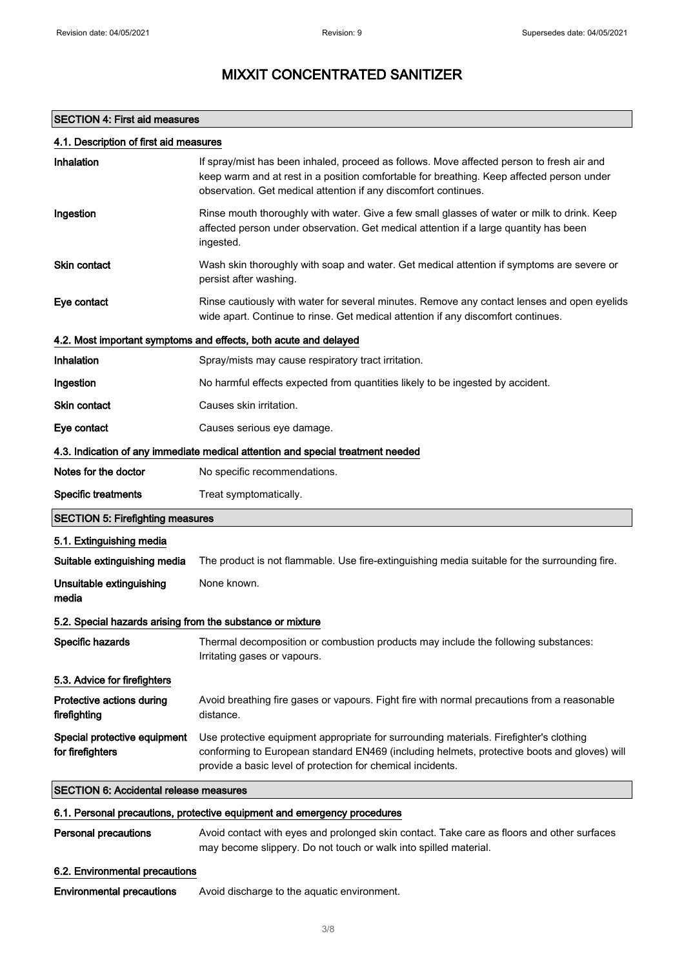#### SECTION 4: First aid measures

| Inhalation                                                 | If spray/mist has been inhaled, proceed as follows. Move affected person to fresh air and<br>keep warm and at rest in a position comfortable for breathing. Keep affected person under<br>observation. Get medical attention if any discomfort continues. |
|------------------------------------------------------------|-----------------------------------------------------------------------------------------------------------------------------------------------------------------------------------------------------------------------------------------------------------|
| Ingestion                                                  | Rinse mouth thoroughly with water. Give a few small glasses of water or milk to drink. Keep<br>affected person under observation. Get medical attention if a large quantity has been<br>ingested.                                                         |
| Skin contact                                               | Wash skin thoroughly with soap and water. Get medical attention if symptoms are severe or<br>persist after washing.                                                                                                                                       |
| Eye contact                                                | Rinse cautiously with water for several minutes. Remove any contact lenses and open eyelids<br>wide apart. Continue to rinse. Get medical attention if any discomfort continues.                                                                          |
|                                                            | 4.2. Most important symptoms and effects, both acute and delayed                                                                                                                                                                                          |
| Inhalation                                                 | Spray/mists may cause respiratory tract irritation.                                                                                                                                                                                                       |
| Ingestion                                                  | No harmful effects expected from quantities likely to be ingested by accident.                                                                                                                                                                            |
| <b>Skin contact</b>                                        | Causes skin irritation.                                                                                                                                                                                                                                   |
| Eye contact                                                | Causes serious eye damage.                                                                                                                                                                                                                                |
|                                                            | 4.3. Indication of any immediate medical attention and special treatment needed                                                                                                                                                                           |
| Notes for the doctor                                       | No specific recommendations.                                                                                                                                                                                                                              |
| <b>Specific treatments</b>                                 | Treat symptomatically.                                                                                                                                                                                                                                    |
| <b>SECTION 5: Firefighting measures</b>                    |                                                                                                                                                                                                                                                           |
| 5.1. Extinguishing media                                   |                                                                                                                                                                                                                                                           |
| Suitable extinguishing media                               | The product is not flammable. Use fire-extinguishing media suitable for the surrounding fire.                                                                                                                                                             |
| Unsuitable extinguishing<br>media                          | None known.                                                                                                                                                                                                                                               |
| 5.2. Special hazards arising from the substance or mixture |                                                                                                                                                                                                                                                           |
| Specific hazards                                           | Thermal decomposition or combustion products may include the following substances:<br>Irritating gases or vapours.                                                                                                                                        |
| 5.3. Advice for firefighters                               |                                                                                                                                                                                                                                                           |
| Protective actions during<br>firefighting                  | Avoid breathing fire gases or vapours. Fight fire with normal precautions from a reasonable<br>distance.                                                                                                                                                  |
| Special protective equipment<br>for firefighters           | Use protective equipment appropriate for surrounding materials. Firefighter's clothing<br>conforming to European standard EN469 (including helmets, protective boots and gloves) will<br>provide a basic level of protection for chemical incidents.      |
| <b>SECTION 6: Accidental release measures</b>              |                                                                                                                                                                                                                                                           |
|                                                            | 6.1. Personal precautions, protective equipment and emergency procedures                                                                                                                                                                                  |
| <b>Personal precautions</b>                                | Avoid contact with eyes and prolonged skin contact. Take care as floors and other surfaces<br>may become slippery. Do not touch or walk into spilled material.                                                                                            |
| 6.2. Environmental precautions                             |                                                                                                                                                                                                                                                           |

Environmental precautions Avoid discharge to the aquatic environment.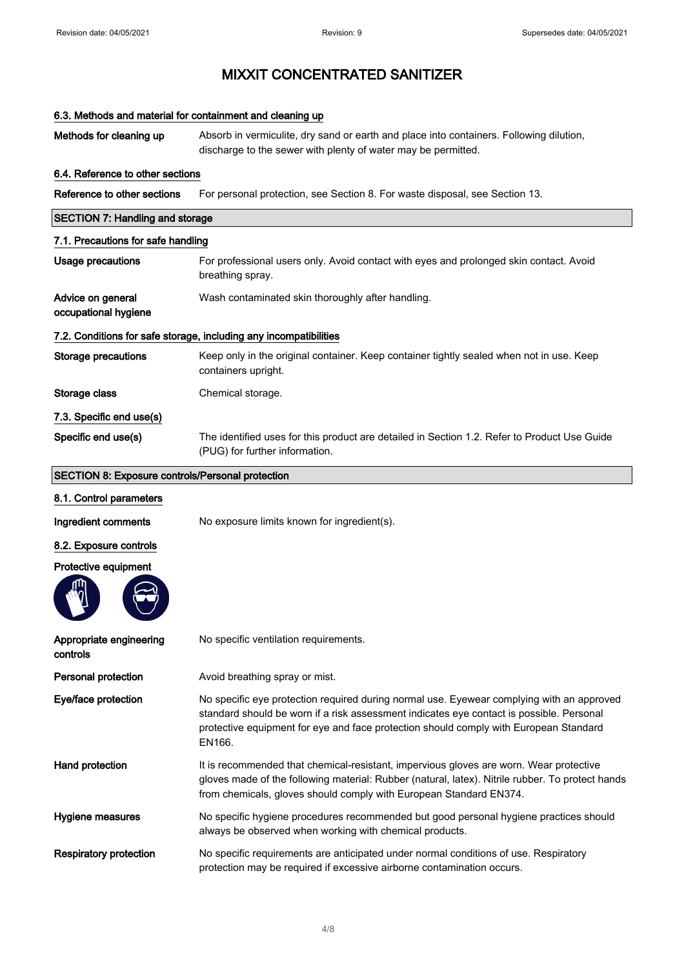| 6.3. Methods and material for containment and cleaning up |                                                                                                                                                                                                                                                                                          |
|-----------------------------------------------------------|------------------------------------------------------------------------------------------------------------------------------------------------------------------------------------------------------------------------------------------------------------------------------------------|
| Methods for cleaning up                                   | Absorb in vermiculite, dry sand or earth and place into containers. Following dilution,<br>discharge to the sewer with plenty of water may be permitted.                                                                                                                                 |
| 6.4. Reference to other sections                          |                                                                                                                                                                                                                                                                                          |
| Reference to other sections                               | For personal protection, see Section 8. For waste disposal, see Section 13.                                                                                                                                                                                                              |
| <b>SECTION 7: Handling and storage</b>                    |                                                                                                                                                                                                                                                                                          |
| 7.1. Precautions for safe handling                        |                                                                                                                                                                                                                                                                                          |
| <b>Usage precautions</b>                                  | For professional users only. Avoid contact with eyes and prolonged skin contact. Avoid<br>breathing spray.                                                                                                                                                                               |
| Advice on general<br>occupational hygiene                 | Wash contaminated skin thoroughly after handling.                                                                                                                                                                                                                                        |
|                                                           | 7.2. Conditions for safe storage, including any incompatibilities                                                                                                                                                                                                                        |
| <b>Storage precautions</b>                                | Keep only in the original container. Keep container tightly sealed when not in use. Keep<br>containers upright.                                                                                                                                                                          |
| Storage class                                             | Chemical storage.                                                                                                                                                                                                                                                                        |
| 7.3. Specific end use(s)                                  |                                                                                                                                                                                                                                                                                          |
| Specific end use(s)                                       | The identified uses for this product are detailed in Section 1.2. Refer to Product Use Guide<br>(PUG) for further information.                                                                                                                                                           |
| <b>SECTION 8: Exposure controls/Personal protection</b>   |                                                                                                                                                                                                                                                                                          |
| 8.1. Control parameters                                   |                                                                                                                                                                                                                                                                                          |
| Ingredient comments                                       | No exposure limits known for ingredient(s).                                                                                                                                                                                                                                              |
| 8.2. Exposure controls                                    |                                                                                                                                                                                                                                                                                          |
| Protective equipment                                      |                                                                                                                                                                                                                                                                                          |
| Appropriate engineering<br>controls                       | No specific ventilation requirements.                                                                                                                                                                                                                                                    |
| Personal protection                                       | Avoid breathing spray or mist.                                                                                                                                                                                                                                                           |
| Eye/face protection                                       | No specific eye protection required during normal use. Eyewear complying with an approved<br>standard should be worn if a risk assessment indicates eye contact is possible. Personal<br>protective equipment for eye and face protection should comply with European Standard<br>EN166. |
| Hand protection                                           | It is recommended that chemical-resistant, impervious gloves are worn. Wear protective<br>gloves made of the following material: Rubber (natural, latex). Nitrile rubber. To protect hands<br>from chemicals, gloves should comply with European Standard EN374.                         |
| Hygiene measures                                          | No specific hygiene procedures recommended but good personal hygiene practices should<br>always be observed when working with chemical products.                                                                                                                                         |
| <b>Respiratory protection</b>                             | No specific requirements are anticipated under normal conditions of use. Respiratory<br>protection may be required if excessive airborne contamination occurs.                                                                                                                           |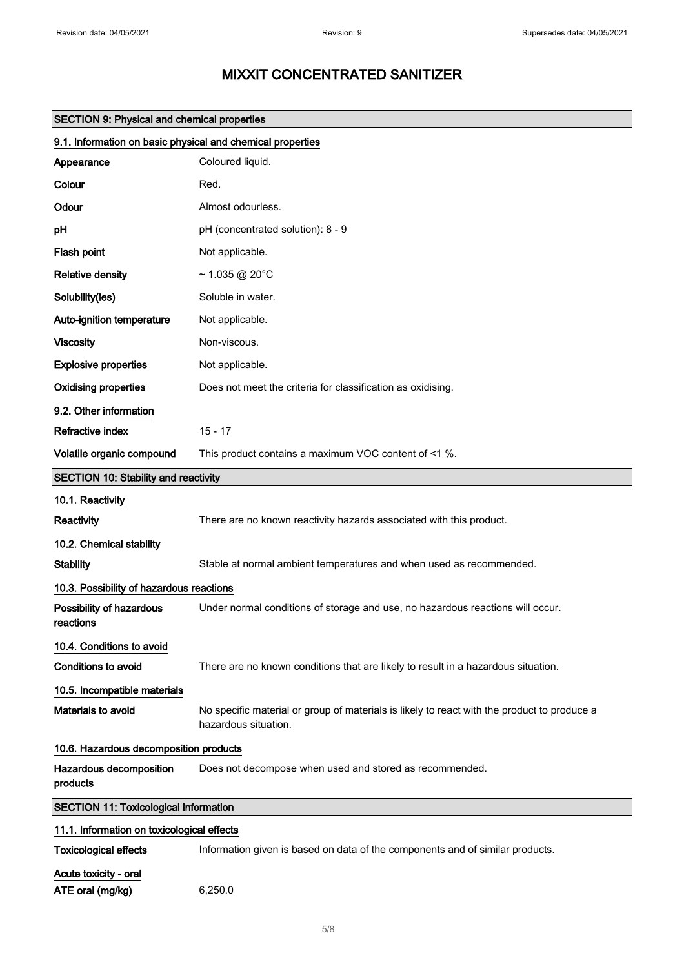|                                                            | <b>SECTION 9: Physical and chemical properties</b>                                                                  |  |
|------------------------------------------------------------|---------------------------------------------------------------------------------------------------------------------|--|
| 9.1. Information on basic physical and chemical properties |                                                                                                                     |  |
| Appearance                                                 | Coloured liquid.                                                                                                    |  |
| Colour                                                     | Red.                                                                                                                |  |
| Odour                                                      | Almost odourless.                                                                                                   |  |
| pH                                                         | pH (concentrated solution): 8 - 9                                                                                   |  |
| Flash point                                                | Not applicable.                                                                                                     |  |
| <b>Relative density</b>                                    | $~1.035$ @ 20°C                                                                                                     |  |
| Solubility(ies)                                            | Soluble in water.                                                                                                   |  |
| Auto-ignition temperature                                  | Not applicable.                                                                                                     |  |
| <b>Viscosity</b>                                           | Non-viscous.                                                                                                        |  |
| <b>Explosive properties</b>                                | Not applicable.                                                                                                     |  |
| <b>Oxidising properties</b>                                | Does not meet the criteria for classification as oxidising.                                                         |  |
| 9.2. Other information                                     |                                                                                                                     |  |
| Refractive index                                           | $15 - 17$                                                                                                           |  |
| Volatile organic compound                                  | This product contains a maximum VOC content of <1 %.                                                                |  |
| <b>SECTION 10: Stability and reactivity</b>                |                                                                                                                     |  |
| 10.1. Reactivity                                           |                                                                                                                     |  |
| Reactivity                                                 | There are no known reactivity hazards associated with this product.                                                 |  |
| 10.2. Chemical stability                                   |                                                                                                                     |  |
| <b>Stability</b>                                           | Stable at normal ambient temperatures and when used as recommended.                                                 |  |
| 10.3. Possibility of hazardous reactions                   |                                                                                                                     |  |
| Possibility of hazardous<br>reactions                      | Under normal conditions of storage and use, no hazardous reactions will occur.                                      |  |
| 10.4. Conditions to avoid                                  |                                                                                                                     |  |
| <b>Conditions to avoid</b>                                 | There are no known conditions that are likely to result in a hazardous situation.                                   |  |
| 10.5. Incompatible materials                               |                                                                                                                     |  |
| Materials to avoid                                         | No specific material or group of materials is likely to react with the product to produce a<br>hazardous situation. |  |
|                                                            | 10.6. Hazardous decomposition products                                                                              |  |
| Hazardous decomposition<br>products                        | Does not decompose when used and stored as recommended.                                                             |  |
| <b>SECTION 11: Toxicological information</b>               |                                                                                                                     |  |
| 11.1. Information on toxicological effects                 |                                                                                                                     |  |
| <b>Toxicological effects</b>                               | Information given is based on data of the components and of similar products.                                       |  |
| Acute toxicity - oral                                      |                                                                                                                     |  |
| ATE oral (mg/kg)                                           | 6,250.0                                                                                                             |  |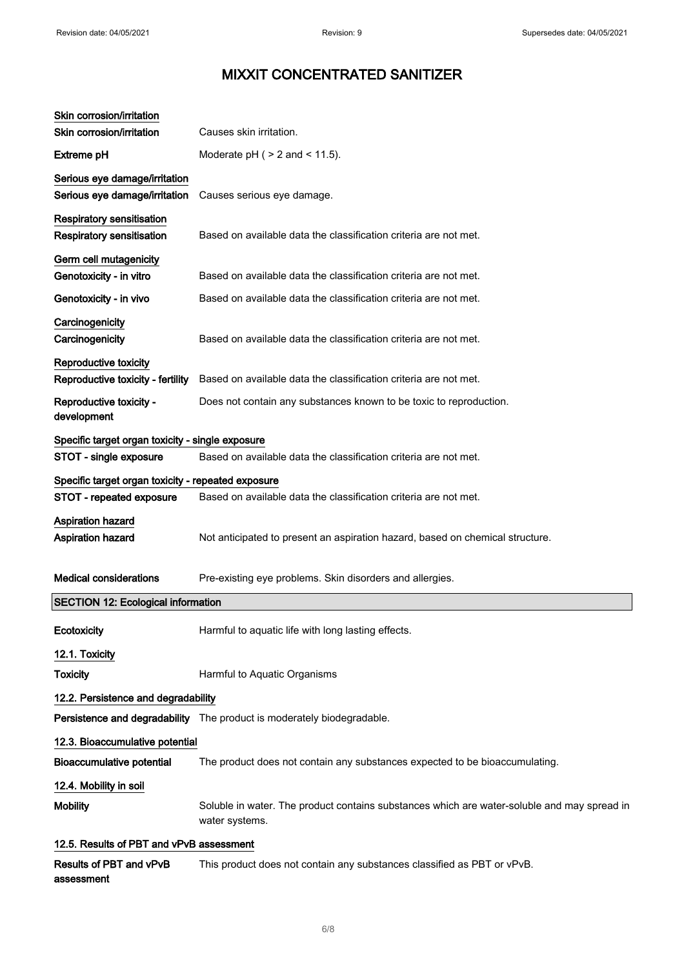| Skin corrosion/irritation<br>Skin corrosion/irritation         | Causes skin irritation.                                                                                       |
|----------------------------------------------------------------|---------------------------------------------------------------------------------------------------------------|
| <b>Extreme pH</b>                                              |                                                                                                               |
|                                                                | Moderate $pH$ ( $>$ 2 and $<$ 11.5).                                                                          |
| Serious eye damage/irritation<br>Serious eye damage/irritation | Causes serious eye damage.                                                                                    |
| <b>Respiratory sensitisation</b>                               |                                                                                                               |
| <b>Respiratory sensitisation</b>                               | Based on available data the classification criteria are not met.                                              |
| Germ cell mutagenicity                                         |                                                                                                               |
| Genotoxicity - in vitro                                        | Based on available data the classification criteria are not met.                                              |
| Genotoxicity - in vivo                                         | Based on available data the classification criteria are not met.                                              |
| Carcinogenicity<br>Carcinogenicity                             | Based on available data the classification criteria are not met.                                              |
| Reproductive toxicity                                          |                                                                                                               |
| Reproductive toxicity - fertility                              | Based on available data the classification criteria are not met.                                              |
| Reproductive toxicity -<br>development                         | Does not contain any substances known to be toxic to reproduction.                                            |
| Specific target organ toxicity - single exposure               |                                                                                                               |
| STOT - single exposure                                         | Based on available data the classification criteria are not met.                                              |
| Specific target organ toxicity - repeated exposure             |                                                                                                               |
| STOT - repeated exposure                                       | Based on available data the classification criteria are not met.                                              |
| Aspiration hazard<br>Aspiration hazard                         | Not anticipated to present an aspiration hazard, based on chemical structure.                                 |
| <b>Medical considerations</b>                                  | Pre-existing eye problems. Skin disorders and allergies.                                                      |
| <b>SECTION 12: Ecological information</b>                      |                                                                                                               |
| Ecotoxicity                                                    | Harmful to aquatic life with long lasting effects.                                                            |
| 12.1. Toxicity                                                 |                                                                                                               |
| <b>Toxicity</b>                                                | Harmful to Aquatic Organisms                                                                                  |
| 12.2. Persistence and degradability                            |                                                                                                               |
|                                                                | Persistence and degradability The product is moderately biodegradable.                                        |
| 12.3. Bioaccumulative potential                                |                                                                                                               |
| <b>Bioaccumulative potential</b>                               | The product does not contain any substances expected to be bioaccumulating.                                   |
| 12.4. Mobility in soil                                         |                                                                                                               |
| <b>Mobility</b>                                                | Soluble in water. The product contains substances which are water-soluble and may spread in<br>water systems. |
| 12.5. Results of PBT and vPvB assessment                       |                                                                                                               |
| Results of PBT and vPvB<br>assessment                          | This product does not contain any substances classified as PBT or vPvB.                                       |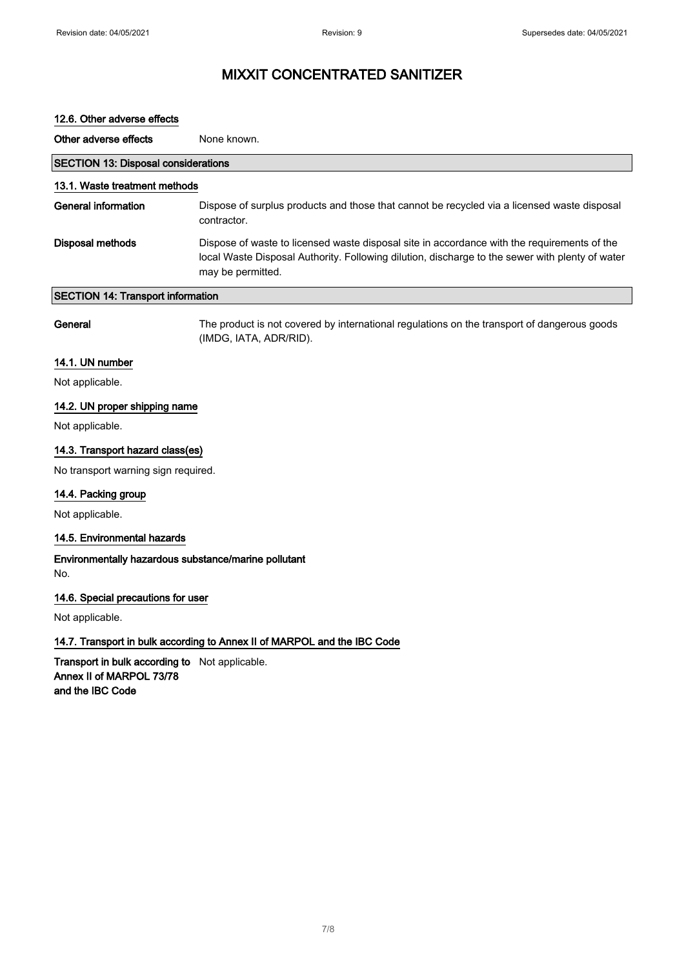| 12.6. Other adverse effects                |                                                                                                                                                                                                                     |
|--------------------------------------------|---------------------------------------------------------------------------------------------------------------------------------------------------------------------------------------------------------------------|
| Other adverse effects                      | None known.                                                                                                                                                                                                         |
| <b>SECTION 13: Disposal considerations</b> |                                                                                                                                                                                                                     |
| 13.1. Waste treatment methods              |                                                                                                                                                                                                                     |
| General information                        | Dispose of surplus products and those that cannot be recycled via a licensed waste disposal<br>contractor.                                                                                                          |
| Disposal methods                           | Dispose of waste to licensed waste disposal site in accordance with the requirements of the<br>local Waste Disposal Authority. Following dilution, discharge to the sewer with plenty of water<br>may be permitted. |
| <b>SECTION 14: Transport information</b>   |                                                                                                                                                                                                                     |
|                                            |                                                                                                                                                                                                                     |

General The product is not covered by international regulations on the transport of dangerous goods (IMDG, IATA, ADR/RID).

#### 14.1. UN number

Not applicable.

#### 14.2. UN proper shipping name

Not applicable.

#### 14.3. Transport hazard class(es)

No transport warning sign required.

#### 14.4. Packing group

Not applicable.

#### 14.5. Environmental hazards

Environmentally hazardous substance/marine pollutant No.

#### 14.6. Special precautions for user

Not applicable.

#### 14.7. Transport in bulk according to Annex II of MARPOL and the IBC Code

Transport in bulk according to Not applicable. Annex II of MARPOL 73/78 and the IBC Code